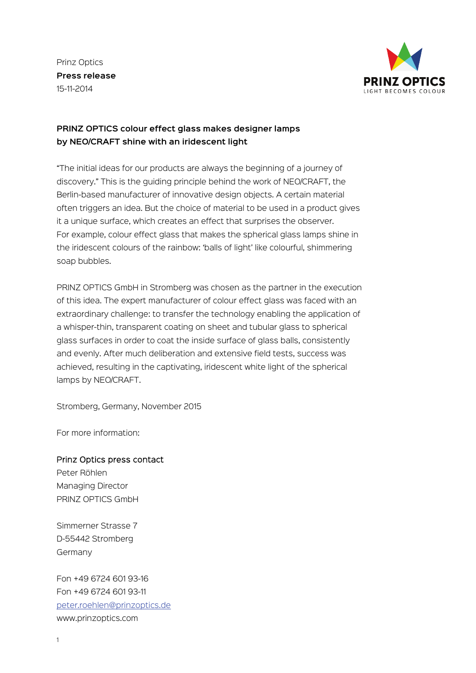Prinz Optics **Press release** 15-11-2014



## **PRINZ OPTICS colour effect glass makes designer lamps by NEO/CRAFT shine with an iridescent light**

"The initial ideas for our products are always the beginning of a journey of discovery." This is the guiding principle behind the work of NEO/CRAFT, the Berlin-based manufacturer of innovative design objects. A certain material often triggers an idea. But the choice of material to be used in a product gives it a unique surface, which creates an effect that surprises the observer. For example, colour effect glass that makes the spherical glass lamps shine in the iridescent colours of the rainbow: 'balls of light' like colourful, shimmering soap bubbles.

PRINZ OPTICS GmbH in Stromberg was chosen as the partner in the execution of this idea. The expert manufacturer of colour effect glass was faced with an extraordinary challenge: to transfer the technology enabling the application of a whisper-thin, transparent coating on sheet and tubular glass to spherical glass surfaces in order to coat the inside surface of glass balls, consistently and evenly. After much deliberation and extensive field tests, success was achieved, resulting in the captivating, iridescent white light of the spherical lamps by NEO/CRAFT.

Stromberg, Germany, November 2015

For more information:

## Prinz Optics press contact

Peter Röhlen Managing Director PRINZ OPTICS GmbH

Simmerner Strasse 7 D-55442 Stromberg Germany

Fon +49 6724 601 93-16 Fon +49 6724 601 93-11 [peter.roehlen@prinzoptics.de](mailto:peter.roehlen@prinzoptics.de) [www.prinzoptics.com](http://www.prinzoptics.com/)